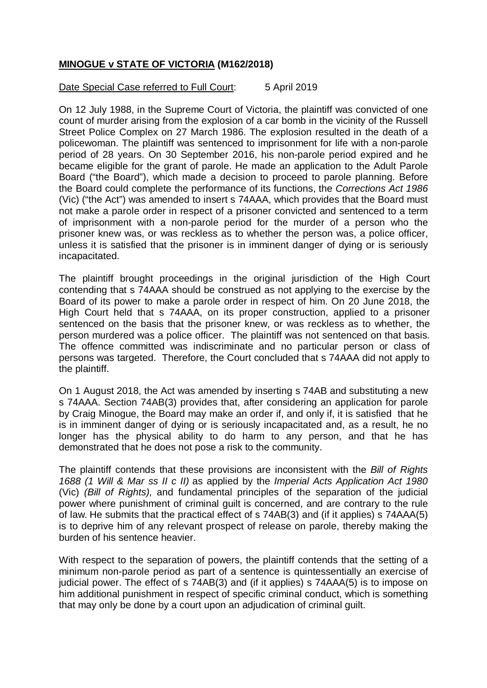## **MINOGUE v STATE OF VICTORIA (M162/2018)**

## Date Special Case referred to Full Court: 5 April 2019

On 12 July 1988, in the Supreme Court of Victoria, the plaintiff was convicted of one count of murder arising from the explosion of a car bomb in the vicinity of the Russell Street Police Complex on 27 March 1986. The explosion resulted in the death of a policewoman. The plaintiff was sentenced to imprisonment for life with a non-parole period of 28 years. On 30 September 2016, his non-parole period expired and he became eligible for the grant of parole. He made an application to the Adult Parole Board ("the Board"), which made a decision to proceed to parole planning. Before the Board could complete the performance of its functions, the *Corrections Act 1986* (Vic) ("the Act") was amended to insert s 74AAA, which provides that the Board must not make a parole order in respect of a prisoner convicted and sentenced to a term of imprisonment with a non-parole period for the murder of a person who the prisoner knew was, or was reckless as to whether the person was, a police officer, unless it is satisfied that the prisoner is in imminent danger of dying or is seriously incapacitated.

The plaintiff brought proceedings in the original jurisdiction of the High Court contending that s 74AAA should be construed as not applying to the exercise by the Board of its power to make a parole order in respect of him. On 20 June 2018, the High Court held that s 74AAA, on its proper construction, applied to a prisoner sentenced on the basis that the prisoner knew, or was reckless as to whether, the person murdered was a police officer. The plaintiff was not sentenced on that basis. The offence committed was indiscriminate and no particular person or class of persons was targeted. Therefore, the Court concluded that s 74AAA did not apply to the plaintiff.

On 1 August 2018, the Act was amended by inserting s 74AB and substituting a new s 74AAA. Section 74AB(3) provides that, after considering an application for parole by Craig Minogue, the Board may make an order if, and only if, it is satisfied that he is in imminent danger of dying or is seriously incapacitated and, as a result, he no longer has the physical ability to do harm to any person, and that he has demonstrated that he does not pose a risk to the community.

The plaintiff contends that these provisions are inconsistent with the *Bill of Rights 1688 (1 Will & Mar ss II c II)* as applied by the *Imperial Acts Application Act 1980*  (Vic) *(Bill of Rights),* and fundamental principles of the separation of the judicial power where punishment of criminal guilt is concerned, and are contrary to the rule of law. He submits that the practical effect of s 74AB(3) and (if it applies) s 74AAA(5) is to deprive him of any relevant prospect of release on parole, thereby making the burden of his sentence heavier.

With respect to the separation of powers, the plaintiff contends that the setting of a minimum non-parole period as part of a sentence is quintessentially an exercise of judicial power. The effect of s 74AB(3) and (if it applies) s 74AAA(5) is to impose on him additional punishment in respect of specific criminal conduct, which is something that may only be done by a court upon an adjudication of criminal guilt.